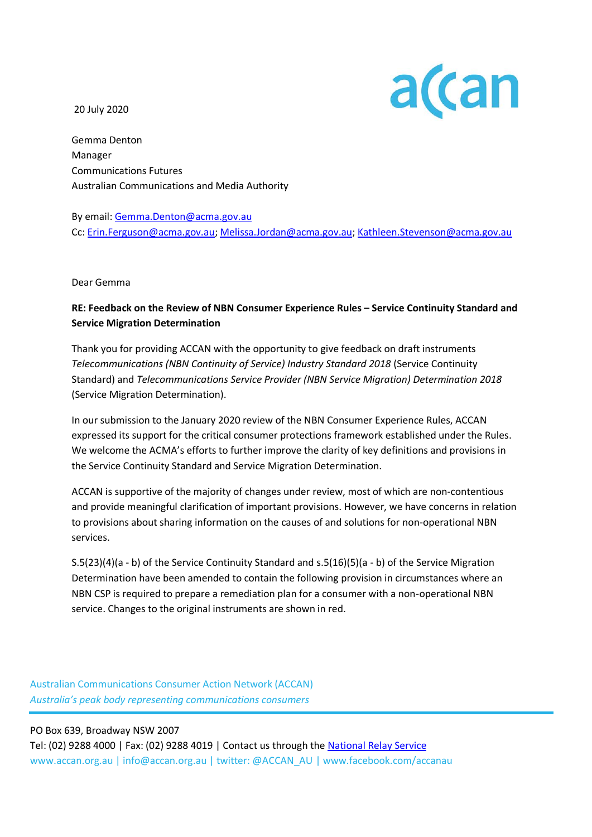20 July 2020



Gemma Denton Manager Communications Futures Australian Communications and Media Authority

By email[: Gemma.Denton@acma.gov.au](mailto:Gemma.Denton@acma.gov.au) Cc: [Erin.Ferguson@acma.gov.au;](mailto:Erin.Ferguson@acma.gov.au) [Melissa.Jordan@acma.gov.au;](mailto:Melissa.Jordan@acma.gov.au) [Kathleen.Stevenson@acma.gov.au](mailto:Kathleen.Stevenson@acma.gov.au)

Dear Gemma

# **RE: Feedback on the Review of NBN Consumer Experience Rules – Service Continuity Standard and Service Migration Determination**

Thank you for providing ACCAN with the opportunity to give feedback on draft instruments *Telecommunications (NBN Continuity of Service) Industry Standard 2018* (Service Continuity Standard) and *Telecommunications Service Provider (NBN Service Migration) Determination 2018* (Service Migration Determination).

In our submission to the January 2020 review of the NBN Consumer Experience Rules, ACCAN expressed its support for the critical consumer protections framework established under the Rules. We welcome the ACMA's efforts to further improve the clarity of key definitions and provisions in the Service Continuity Standard and Service Migration Determination.

ACCAN is supportive of the majority of changes under review, most of which are non-contentious and provide meaningful clarification of important provisions. However, we have concerns in relation to provisions about sharing information on the causes of and solutions for non-operational NBN services.

S.5(23)(4)(a - b) of the Service Continuity Standard and s.5(16)(5)(a - b) of the Service Migration Determination have been amended to contain the following provision in circumstances where an NBN CSP is required to prepare a remediation plan for a consumer with a non-operational NBN service. Changes to the original instruments are shown in red.

Australian Communications Consumer Action Network (ACCAN) *Australia's peak body representing communications consumers*

PO Box 639, Broadway NSW 2007 Tel: (02) 9288 4000 | Fax: (02) 9288 4019 | Contact us through the [National Relay Service](http://relayservice.gov.au/) www.accan.org.au | info@accan.org.au | twitter: @ACCAN\_AU | www.facebook.com/accanau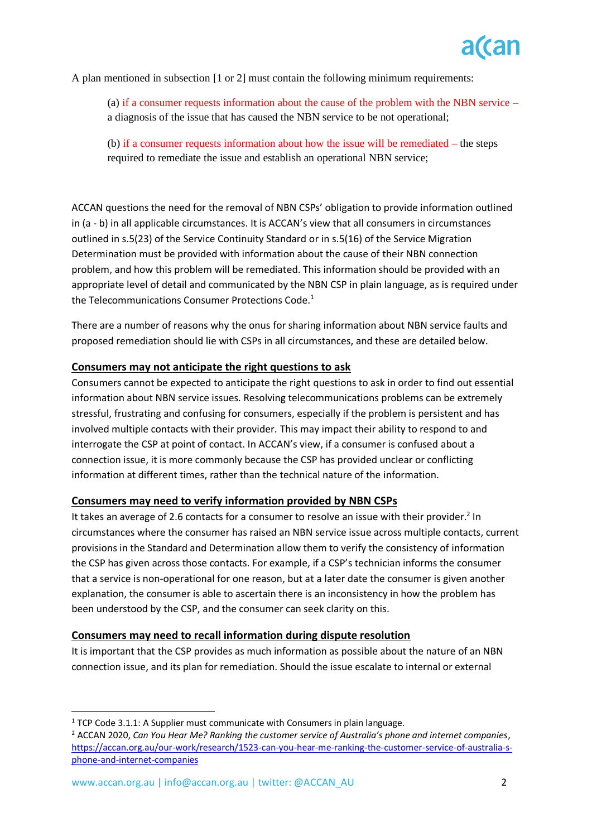A plan mentioned in subsection [1 or 2] must contain the following minimum requirements:

(a) if a consumer requests information about the cause of the problem with the NBN service – a diagnosis of the issue that has caused the NBN service to be not operational;

(b) if a consumer requests information about how the issue will be remediated – the steps required to remediate the issue and establish an operational NBN service;

ACCAN questions the need for the removal of NBN CSPs' obligation to provide information outlined in (a - b) in all applicable circumstances. It is ACCAN's view that all consumers in circumstances outlined in s.5(23) of the Service Continuity Standard or in s.5(16) of the Service Migration Determination must be provided with information about the cause of their NBN connection problem, and how this problem will be remediated. This information should be provided with an appropriate level of detail and communicated by the NBN CSP in plain language, as is required under the Telecommunications Consumer Protections Code.<sup>1</sup>

There are a number of reasons why the onus for sharing information about NBN service faults and proposed remediation should lie with CSPs in all circumstances, and these are detailed below.

## **Consumers may not anticipate the right questions to ask**

Consumers cannot be expected to anticipate the right questions to ask in order to find out essential information about NBN service issues. Resolving telecommunications problems can be extremely stressful, frustrating and confusing for consumers, especially if the problem is persistent and has involved multiple contacts with their provider. This may impact their ability to respond to and interrogate the CSP at point of contact. In ACCAN's view, if a consumer is confused about a connection issue, it is more commonly because the CSP has provided unclear or conflicting information at different times, rather than the technical nature of the information.

### **Consumers may need to verify information provided by NBN CSPs**

It takes an average of 2.6 contacts for a consumer to resolve an issue with their provider.<sup>2</sup> In circumstances where the consumer has raised an NBN service issue across multiple contacts, current provisions in the Standard and Determination allow them to verify the consistency of information the CSP has given across those contacts. For example, if a CSP's technician informs the consumer that a service is non-operational for one reason, but at a later date the consumer is given another explanation, the consumer is able to ascertain there is an inconsistency in how the problem has been understood by the CSP, and the consumer can seek clarity on this.

### **Consumers may need to recall information during dispute resolution**

It is important that the CSP provides as much information as possible about the nature of an NBN connection issue, and its plan for remediation. Should the issue escalate to internal or external

 $1$  TCP Code 3.1.1: A Supplier must communicate with Consumers in plain language.

<sup>2</sup> ACCAN 2020, *Can You Hear Me? Ranking the customer service of Australia's phone and internet companies*, [https://accan.org.au/our-work/research/1523-can-you-hear-me-ranking-the-customer-service-of-australia-s](https://accan.org.au/our-work/research/1523-can-you-hear-me-ranking-the-customer-service-of-australia-s-phone-and-internet-companies)[phone-and-internet-companies](https://accan.org.au/our-work/research/1523-can-you-hear-me-ranking-the-customer-service-of-australia-s-phone-and-internet-companies)